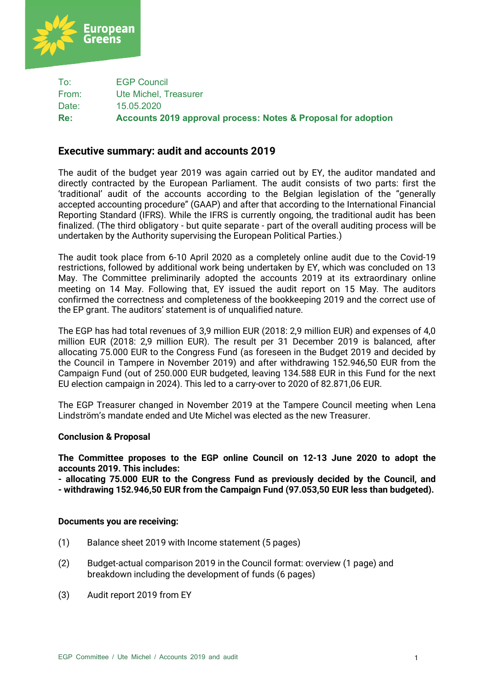

To: EGP Council From: Ute Michel, Treasurer Date: 15.05.2020 **Re: Accounts 2019 approval process: Notes & Proposal for adoption**

# **Executive summary: audit and accounts 2019**

The audit of the budget year 2019 was again carried out by EY, the auditor mandated and directly contracted by the European Parliament. The audit consists of two parts: first the 'traditional' audit of the accounts according to the Belgian legislation of the "generally accepted accounting procedure" (GAAP) and after that according to the International Financial Reporting Standard (IFRS). While the IFRS is currently ongoing, the traditional audit has been finalized. (The third obligatory - but quite separate - part of the overall auditing process will be undertaken by the Authority supervising the European Political Parties.)

The audit took place from 6-10 April 2020 as a completely online audit due to the Covid-19 restrictions, followed by additional work being undertaken by EY, which was concluded on 13 May. The Committee preliminarily adopted the accounts 2019 at its extraordinary online meeting on 14 May. Following that, EY issued the audit report on 15 May. The auditors confirmed the correctness and completeness of the bookkeeping 2019 and the correct use of the EP grant. The auditors' statement is of unqualified nature.

The EGP has had total revenues of 3,9 million EUR (2018: 2,9 million EUR) and expenses of 4,0 million EUR (2018: 2,9 million EUR). The result per 31 December 2019 is balanced, after allocating 75.000 EUR to the Congress Fund (as foreseen in the Budget 2019 and decided by the Council in Tampere in November 2019) and after withdrawing 152.946,50 EUR from the Campaign Fund (out of 250.000 EUR budgeted, leaving 134.588 EUR in this Fund for the next EU election campaign in 2024). This led to a carry-over to 2020 of 82.871,06 EUR.

The EGP Treasurer changed in November 2019 at the Tampere Council meeting when Lena Lindström's mandate ended and Ute Michel was elected as the new Treasurer.

# **Conclusion & Proposal**

**The Committee proposes to the EGP online Council on 12-13 June 2020 to adopt the accounts 2019. This includes:**

**- allocating 75.000 EUR to the Congress Fund as previously decided by the Council, and - withdrawing 152.946,50 EUR from the Campaign Fund (97.053,50 EUR less than budgeted).**

### **Documents you are receiving:**

- (1) Balance sheet 2019 with Income statement (5 pages)
- (2) Budget-actual comparison 2019 in the Council format: overview (1 page) and breakdown including the development of funds (6 pages)
- (3) Audit report 2019 from EY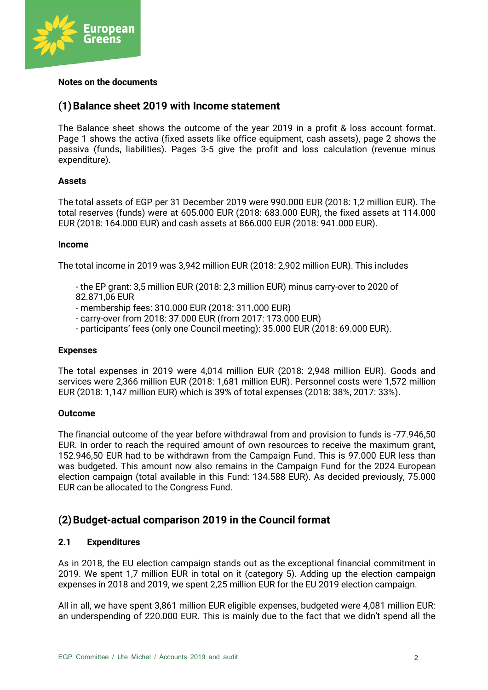

### **Notes on the documents**

# **(1)Balance sheet 2019 with Income statement**

The Balance sheet shows the outcome of the year 2019 in a profit & loss account format. Page 1 shows the activa (fixed assets like office equipment, cash assets), page 2 shows the passiva (funds, liabilities). Pages 3-5 give the profit and loss calculation (revenue minus expenditure).

### **Assets**

The total assets of EGP per 31 December 2019 were 990.000 EUR (2018: 1,2 million EUR). The total reserves (funds) were at 605.000 EUR (2018: 683.000 EUR), the fixed assets at 114.000 EUR (2018: 164.000 EUR) and cash assets at 866.000 EUR (2018: 941.000 EUR).

### **Income**

The total income in 2019 was 3,942 million EUR (2018: 2,902 million EUR). This includes

- the EP grant: 3,5 million EUR (2018: 2,3 million EUR) minus carry-over to 2020 of 82.871,06 EUR
- membership fees: 310.000 EUR (2018: 311.000 EUR)
- carry-over from 2018: 37.000 EUR (from 2017: 173.000 EUR)
- participants' fees (only one Council meeting): 35.000 EUR (2018: 69.000 EUR).

### **Expenses**

The total expenses in 2019 were 4,014 million EUR (2018: 2,948 million EUR). Goods and services were 2,366 million EUR (2018: 1,681 million EUR). Personnel costs were 1,572 million EUR (2018: 1,147 million EUR) which is 39% of total expenses (2018: 38%, 2017: 33%).

### **Outcome**

The financial outcome of the year before withdrawal from and provision to funds is -77.946,50 EUR. In order to reach the required amount of own resources to receive the maximum grant, 152.946,50 EUR had to be withdrawn from the Campaign Fund. This is 97.000 EUR less than was budgeted. This amount now also remains in the Campaign Fund for the 2024 European election campaign (total available in this Fund: 134.588 EUR). As decided previously, 75.000 EUR can be allocated to the Congress Fund.

# **(2)Budget-actual comparison 2019 in the Council format**

# **2.1 Expenditures**

As in 2018, the EU election campaign stands out as the exceptional financial commitment in 2019. We spent 1,7 million EUR in total on it (category 5). Adding up the election campaign expenses in 2018 and 2019, we spent 2,25 million EUR for the EU 2019 election campaign.

All in all, we have spent 3,861 million EUR eligible expenses, budgeted were 4,081 million EUR: an underspending of 220.000 EUR. This is mainly due to the fact that we didn't spend all the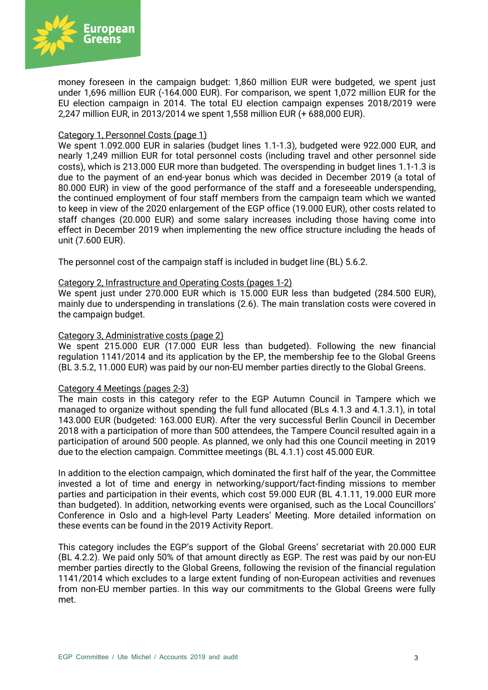

money foreseen in the campaign budget: 1,860 million EUR were budgeted, we spent just under 1,696 million EUR (-164.000 EUR). For comparison, we spent 1,072 million EUR for the EU election campaign in 2014. The total EU election campaign expenses 2018/2019 were 2,247 million EUR, in 2013/2014 we spent 1,558 million EUR (+ 688,000 EUR).

### Category 1, Personnel Costs (page 1)

We spent 1.092.000 EUR in salaries (budget lines 1.1-1.3), budgeted were 922.000 EUR, and nearly 1,249 million EUR for total personnel costs (including travel and other personnel side costs), which is 213.000 EUR more than budgeted. The overspending in budget lines 1.1-1.3 is due to the payment of an end-year bonus which was decided in December 2019 (a total of 80.000 EUR) in view of the good performance of the staff and a foreseeable underspending, the continued employment of four staff members from the campaign team which we wanted to keep in view of the 2020 enlargement of the EGP office (19.000 EUR), other costs related to staff changes (20.000 EUR) and some salary increases including those having come into effect in December 2019 when implementing the new office structure including the heads of unit (7.600 EUR).

The personnel cost of the campaign staff is included in budget line (BL) 5.6.2.

### Category 2, Infrastructure and Operating Costs (pages 1-2)

We spent just under 270.000 EUR which is 15.000 EUR less than budgeted (284.500 EUR), mainly due to underspending in translations (2.6). The main translation costs were covered in the campaign budget.

### Category 3, Administrative costs (page 2)

We spent 215.000 EUR (17.000 EUR less than budgeted). Following the new financial regulation 1141/2014 and its application by the EP, the membership fee to the Global Greens (BL 3.5.2, 11.000 EUR) was paid by our non-EU member parties directly to the Global Greens.

### Category 4 Meetings (pages 2-3)

The main costs in this category refer to the EGP Autumn Council in Tampere which we managed to organize without spending the full fund allocated (BLs 4.1.3 and 4.1.3.1), in total 143.000 EUR (budgeted: 163.000 EUR). After the very successful Berlin Council in December 2018 with a participation of more than 500 attendees, the Tampere Council resulted again in a participation of around 500 people. As planned, we only had this one Council meeting in 2019 due to the election campaign. Committee meetings (BL 4.1.1) cost 45.000 EUR.

In addition to the election campaign, which dominated the first half of the year, the Committee invested a lot of time and energy in networking/support/fact-finding missions to member parties and participation in their events, which cost 59.000 EUR (BL 4.1.11, 19.000 EUR more than budgeted). In addition, networking events were organised, such as the Local Councillors' Conference in Oslo and a high-level Party Leaders' Meeting. More detailed information on these events can be found in the 2019 Activity Report.

This category includes the EGP's support of the Global Greens' secretariat with 20.000 EUR (BL 4.2.2). We paid only 50% of that amount directly as EGP. The rest was paid by our non-EU member parties directly to the Global Greens, following the revision of the financial regulation 1141/2014 which excludes to a large extent funding of non-European activities and revenues from non-EU member parties. In this way our commitments to the Global Greens were fully met.